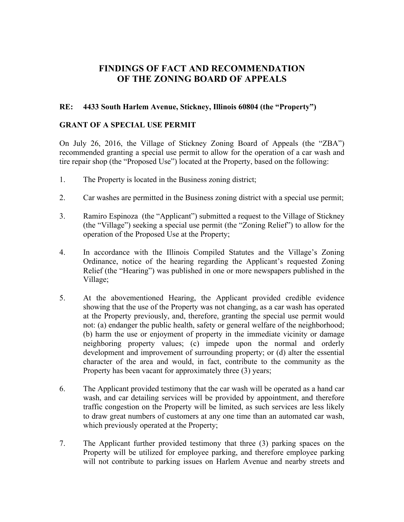## **FINDINGS OF FACT AND RECOMMENDATION OF THE ZONING BOARD OF APPEALS**

## **RE: 4433 South Harlem Avenue, Stickney, Illinois 60804 (the "Property")**

## **GRANT OF A SPECIAL USE PERMIT**

On July 26, 2016, the Village of Stickney Zoning Board of Appeals (the "ZBA") recommended granting a special use permit to allow for the operation of a car wash and tire repair shop (the "Proposed Use") located at the Property, based on the following:

- 1. The Property is located in the Business zoning district;
- 2. Car washes are permitted in the Business zoning district with a special use permit;
- 3. Ramiro Espinoza (the "Applicant") submitted a request to the Village of Stickney (the "Village") seeking a special use permit (the "Zoning Relief") to allow for the operation of the Proposed Use at the Property;
- 4. In accordance with the Illinois Compiled Statutes and the Village's Zoning Ordinance, notice of the hearing regarding the Applicant's requested Zoning Relief (the "Hearing") was published in one or more newspapers published in the Village;
- 5. At the abovementioned Hearing, the Applicant provided credible evidence showing that the use of the Property was not changing, as a car wash has operated at the Property previously, and, therefore, granting the special use permit would not: (a) endanger the public health, safety or general welfare of the neighborhood; (b) harm the use or enjoyment of property in the immediate vicinity or damage neighboring property values; (c) impede upon the normal and orderly development and improvement of surrounding property; or (d) alter the essential character of the area and would, in fact, contribute to the community as the Property has been vacant for approximately three (3) years;
- 6. The Applicant provided testimony that the car wash will be operated as a hand car wash, and car detailing services will be provided by appointment, and therefore traffic congestion on the Property will be limited, as such services are less likely to draw great numbers of customers at any one time than an automated car wash, which previously operated at the Property;
- 7. The Applicant further provided testimony that three (3) parking spaces on the Property will be utilized for employee parking, and therefore employee parking will not contribute to parking issues on Harlem Avenue and nearby streets and